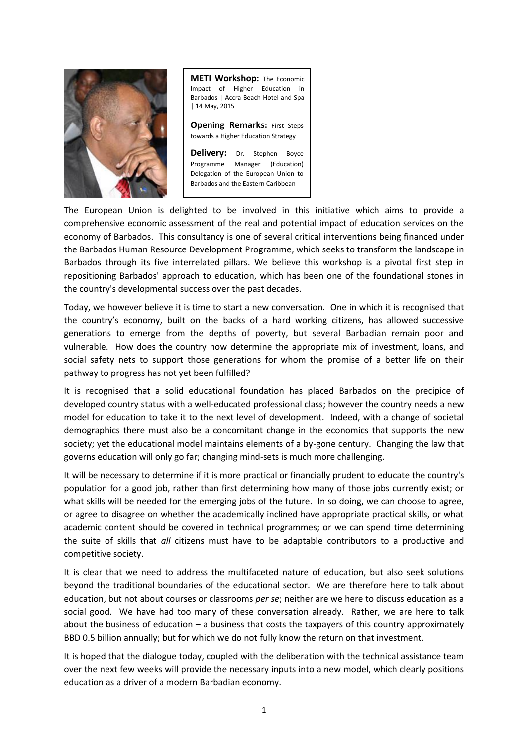

**METI Workshop:** The Economic Impact of Higher Education in Barbados | Accra Beach Hotel and Spa | 14 May, 2015

**Opening Remarks: First Steps** towards a Higher Education Strategy

**Delivery:** Dr. Stephen Boyce Programme Manager (Education) Delegation of the European Union to Barbados and the Eastern Caribbean

The European Union is delighted to be involved in this initiative which aims to provide a comprehensive economic assessment of the real and potential impact of education services on the economy of Barbados. This consultancy is one of several critical interventions being financed under the Barbados Human Resource Development Programme, which seeks to transform the landscape in Barbados through its five interrelated pillars. We believe this workshop is a pivotal first step in repositioning Barbados' approach to education, which has been one of the foundational stones in the country's developmental success over the past decades.

Today, we however believe it is time to start a new conversation. One in which it is recognised that the country's economy, built on the backs of a hard working citizens, has allowed successive generations to emerge from the depths of poverty, but several Barbadian remain poor and vulnerable. How does the country now determine the appropriate mix of investment, loans, and social safety nets to support those generations for whom the promise of a better life on their pathway to progress has not yet been fulfilled?

It is recognised that a solid educational foundation has placed Barbados on the precipice of developed country status with a well-educated professional class; however the country needs a new model for education to take it to the next level of development. Indeed, with a change of societal demographics there must also be a concomitant change in the economics that supports the new society; yet the educational model maintains elements of a by-gone century. Changing the law that governs education will only go far; changing mind-sets is much more challenging.

It will be necessary to determine if it is more practical or financially prudent to educate the country's population for a good job, rather than first determining how many of those jobs currently exist; or what skills will be needed for the emerging jobs of the future. In so doing, we can choose to agree, or agree to disagree on whether the academically inclined have appropriate practical skills, or what academic content should be covered in technical programmes; or we can spend time determining the suite of skills that *all* citizens must have to be adaptable contributors to a productive and competitive society.

It is clear that we need to address the multifaceted nature of education, but also seek solutions beyond the traditional boundaries of the educational sector. We are therefore here to talk about education, but not about courses or classrooms *per se*; neither are we here to discuss education as a social good. We have had too many of these conversation already. Rather, we are here to talk about the business of education – a business that costs the taxpayers of this country approximately BBD 0.5 billion annually; but for which we do not fully know the return on that investment.

It is hoped that the dialogue today, coupled with the deliberation with the technical assistance team over the next few weeks will provide the necessary inputs into a new model, which clearly positions education as a driver of a modern Barbadian economy.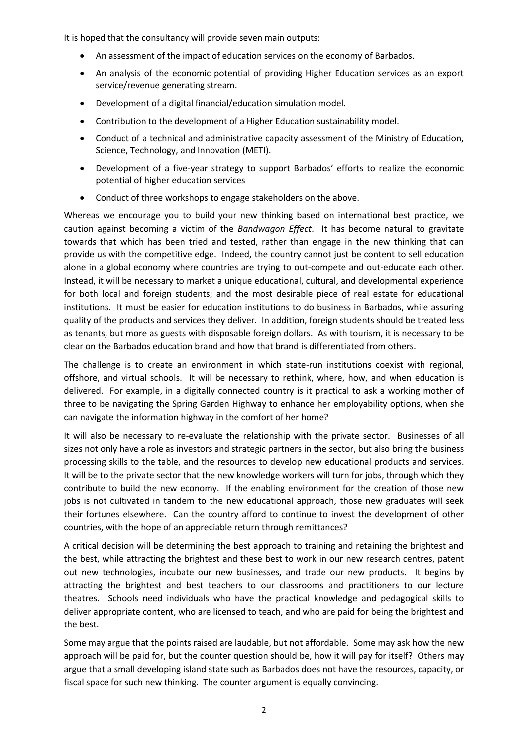It is hoped that the consultancy will provide seven main outputs:

- An assessment of the impact of education services on the economy of Barbados.
- An analysis of the economic potential of providing Higher Education services as an export service/revenue generating stream.
- Development of a digital financial/education simulation model.
- Contribution to the development of a Higher Education sustainability model.
- Conduct of a technical and administrative capacity assessment of the Ministry of Education, Science, Technology, and Innovation (METI).
- Development of a five-year strategy to support Barbados' efforts to realize the economic potential of higher education services
- Conduct of three workshops to engage stakeholders on the above.

Whereas we encourage you to build your new thinking based on international best practice, we caution against becoming a victim of the *Bandwagon Effect*. It has become natural to gravitate towards that which has been tried and tested, rather than engage in the new thinking that can provide us with the competitive edge. Indeed, the country cannot just be content to sell education alone in a global economy where countries are trying to out-compete and out-educate each other. Instead, it will be necessary to market a unique educational, cultural, and developmental experience for both local and foreign students; and the most desirable piece of real estate for educational institutions. It must be easier for education institutions to do business in Barbados, while assuring quality of the products and services they deliver. In addition, foreign students should be treated less as tenants, but more as guests with disposable foreign dollars. As with tourism, it is necessary to be clear on the Barbados education brand and how that brand is differentiated from others.

The challenge is to create an environment in which state-run institutions coexist with regional, offshore, and virtual schools. It will be necessary to rethink, where, how, and when education is delivered. For example, in a digitally connected country is it practical to ask a working mother of three to be navigating the Spring Garden Highway to enhance her employability options, when she can navigate the information highway in the comfort of her home?

It will also be necessary to re-evaluate the relationship with the private sector. Businesses of all sizes not only have a role as investors and strategic partners in the sector, but also bring the business processing skills to the table, and the resources to develop new educational products and services. It will be to the private sector that the new knowledge workers will turn for jobs, through which they contribute to build the new economy. If the enabling environment for the creation of those new jobs is not cultivated in tandem to the new educational approach, those new graduates will seek their fortunes elsewhere. Can the country afford to continue to invest the development of other countries, with the hope of an appreciable return through remittances?

A critical decision will be determining the best approach to training and retaining the brightest and the best, while attracting the brightest and these best to work in our new research centres, patent out new technologies, incubate our new businesses, and trade our new products. It begins by attracting the brightest and best teachers to our classrooms and practitioners to our lecture theatres. Schools need individuals who have the practical knowledge and pedagogical skills to deliver appropriate content, who are licensed to teach, and who are paid for being the brightest and the best.

Some may argue that the points raised are laudable, but not affordable. Some may ask how the new approach will be paid for, but the counter question should be, how it will pay for itself? Others may argue that a small developing island state such as Barbados does not have the resources, capacity, or fiscal space for such new thinking. The counter argument is equally convincing.